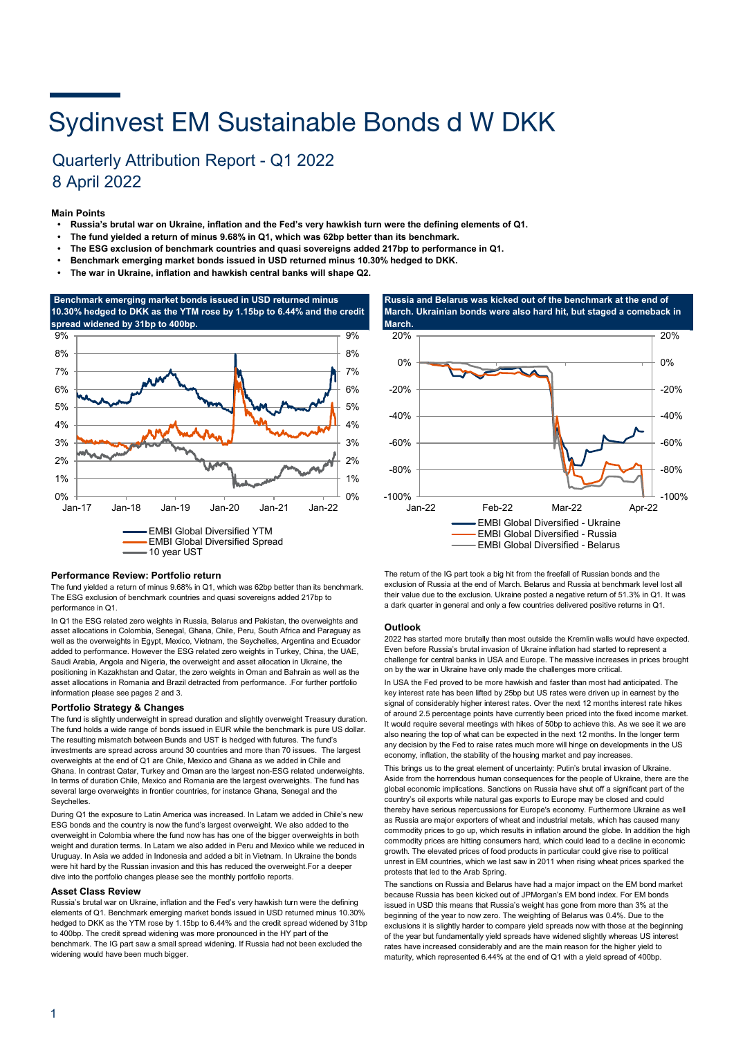# Sydinvest EM Sustainable Bonds d W DKK

### Quarterly Attribution Report - Q1 2022 8 April 2022

#### **Main Points**

- **Russia's brutal war on Ukraine, inflation and the Fed's very hawkish turn were the defining elements of Q1.**
- **The fund yielded a return of minus 9.68% in Q1, which was 62bp better than its benchmark.**
- **• The ESG exclusion of benchmark countries and quasi sovereigns added 217bp to performance in Q1.**
- **Benchmark emerging market bonds issued in USD returned minus 10.30% hedged to DKK.**
- **• The war in Ukraine, inflation and hawkish central banks will shape Q2.**



#### **Performance Review: Portfolio return**

The fund yielded a return of minus 9.68% in Q1, which was 62bp better than its benchmark. The ESG exclusion of benchmark countries and quasi sovereigns added 217bp to performance in Q1.

In Q1 the ESG related zero weights in Russia, Belarus and Pakistan, the overweights and asset allocations in Colombia, Senegal, Ghana, Chile, Peru, South Africa and Paraguay as well as the overweights in Egypt, Mexico, Vietnam, the Seychelles, Argentina and Ecuador added to performance. However the ESG related zero weights in Turkey, China, the UAE, Saudi Arabia, Angola and Nigeria, the overweight and asset allocation in Ukraine, the positioning in Kazakhstan and Qatar, the zero weights in Oman and Bahrain as well as the asset allocations in Romania and Brazil detracted from performance. .For further portfolio information please see pages 2 and 3.

#### **Portfolio Strategy & Changes**

The fund is slightly underweight in spread duration and slightly overweight Treasury duration. The fund holds a wide range of bonds issued in EUR while the benchmark is pure US dollar. The resulting mismatch between Bunds and UST is hedged with futures. The fund's investments are spread across around 30 countries and more than 70 issues. The largest overweights at the end of Q1 are Chile, Mexico and Ghana as we added in Chile and Ghana. In contrast Qatar, Turkey and Oman are the largest non-ESG related underweights. In terms of duration Chile, Mexico and Romania are the largest overweights. The fund has several large overweights in frontier countries, for instance Ghana, Senegal and the **Seychelles** 

During Q1 the exposure to Latin America was increased. In Latam we added in Chile's new ESG bonds and the country is now the fund's largest overweight. We also added to the overweight in Colombia where the fund now has has one of the bigger overweights in both weight and duration terms. In Latam we also added in Peru and Mexico while we reduced in Uruguay. In Asia we added in Indonesia and added a bit in Vietnam. In Ukraine the bonds were hit hard by the Russian invasion and this has reduced the overweight.For a deeper dive into the portfolio changes please see the monthly portfolio reports.

#### **Asset Class Review**

Russia's brutal war on Ukraine, inflation and the Fed's very hawkish turn were the defining elements of Q1. Benchmark emerging market bonds issued in USD returned minus 10.30% hedged to DKK as the YTM rose by 1.15bp to 6.44% and the credit spread widened by 31bp to 400bp. The credit spread widening was more pronounced in the HY part of the benchmark. The IG part saw a small spread widening. If Russia had not been excluded the widening would have been much bigger.

**Russia and Belarus was kicked out of the benchmark at the end of March. Ukrainian bonds were also hard hit, but staged a comeback in** 



The return of the IG part took a big hit from the freefall of Russian bonds and the exclusion of Russia at the end of March. Belarus and Russia at benchmark level lost all their value due to the exclusion. Ukraine posted a negative return of 51.3% in Q1. It was a dark quarter in general and only a few countries delivered positive returns in Q1.

#### **Outlook**

2022 has started more brutally than most outside the Kremlin walls would have expected. Even before Russia's brutal invasion of Ukraine inflation had started to represent a challenge for central banks in USA and Europe. The massive increases in prices brought on by the war in Ukraine have only made the challenges more critical.

In USA the Fed proved to be more hawkish and faster than most had anticipated. The key interest rate has been lifted by 25bp but US rates were driven up in earnest by the signal of considerably higher interest rates. Over the next 12 months interest rate hikes of around 2.5 percentage points have currently been priced into the fixed income market. It would require several meetings with hikes of 50bp to achieve this. As we see it we are also nearing the top of what can be expected in the next 12 months. In the longer term any decision by the Fed to raise rates much more will hinge on developments in the US economy, inflation, the stability of the housing market and pay increases.

This brings us to the great element of uncertainty: Putin's brutal invasion of Ukraine. Aside from the horrendous human consequences for the people of Ukraine, there are the global economic implications. Sanctions on Russia have shut off a significant part of the country's oil exports while natural gas exports to Europe may be closed and could thereby have serious repercussions for Europe's economy. Furthermore Ukraine as well as Russia are major exporters of wheat and industrial metals, which has caused many commodity prices to go up, which results in inflation around the globe. In addition the high commodity prices are hitting consumers hard, which could lead to a decline in economic growth. The elevated prices of food products in particular could give rise to political unrest in EM countries, which we last saw in 2011 when rising wheat prices sparked the protests that led to the Arab Spring.

The sanctions on Russia and Belarus have had a major impact on the EM bond market because Russia has been kicked out of JPMorgan's EM bond index. For EM bonds issued in USD this means that Russia's weight has gone from more than 3% at the beginning of the year to now zero. The weighting of Belarus was 0.4%. Due to the exclusions it is slightly harder to compare yield spreads now with those at the beginning of the year but fundamentally yield spreads have widened slightly whereas US interest rates have increased considerably and are the main reason for the higher yield to maturity, which represented 6.44% at the end of Q1 with a yield spread of 400bp.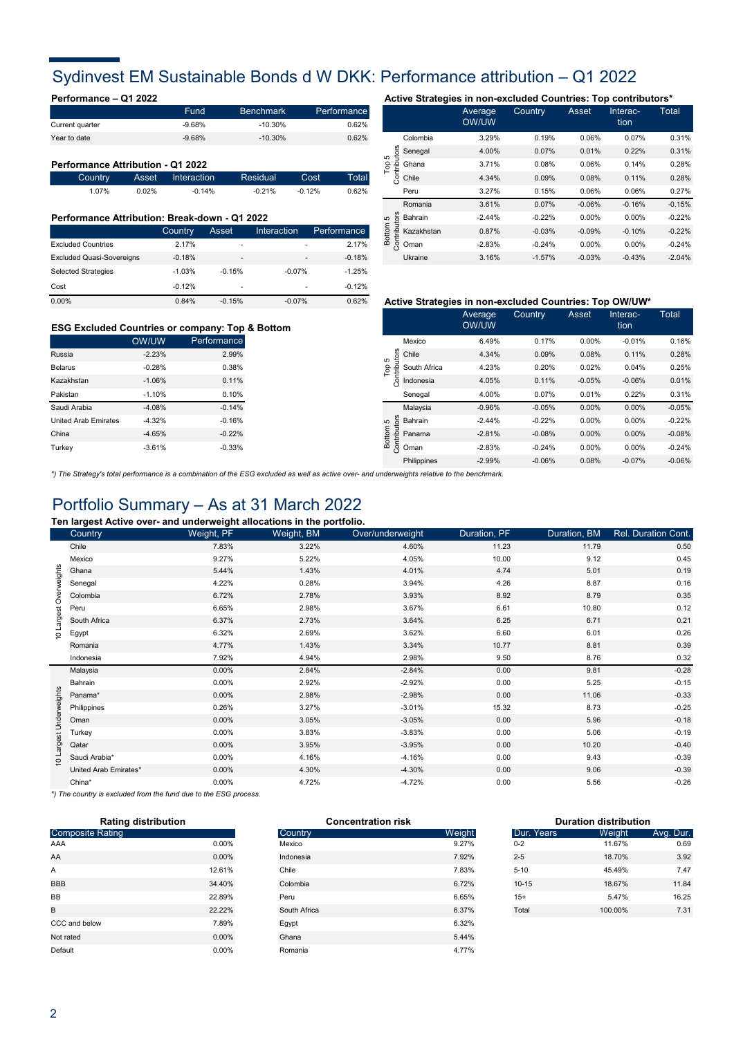### Sydinvest EM Sustainable Bonds d W DKK: Performance attribution – Q1 2022

|                 | Fund     | <b>Benchmark</b> | Performance |
|-----------------|----------|------------------|-------------|
| Current quarter | $-9.68%$ | $-10.30\%$       | 0.62%       |
| Year to date    | $-9.68%$ | $-10.30\%$       | 0.62%       |

#### **Performance Attribution - Q1 2022**

|       |          | Country Asset Interaction | Residual  | Cost C    | Total |
|-------|----------|---------------------------|-----------|-----------|-------|
| 1.07% | $0.02\%$ | $-0.14\%$                 | $-0.21\%$ | $-0.12\%$ | 0.62% |

### **Performance Attribution: Break-down - Q1 2022**

|                                  | Country  | Asset    | Interaction    | Performance |
|----------------------------------|----------|----------|----------------|-------------|
| <b>Excluded Countries</b>        | 2.17%    | ۰        | $\overline{a}$ | 2.17%       |
| <b>Excluded Quasi-Sovereigns</b> | $-0.18%$ | -        |                | $-0.18%$    |
| <b>Selected Strategies</b>       | $-1.03%$ | $-0.15%$ | $-0.07%$       | $-1.25%$    |
| Cost                             | $-0.12%$ | ۰        |                | $-0.12%$    |
| 0.00%                            | 0.84%    | $-0.15%$ | $-0.07%$       | 0.62%       |

### **Performance – Q1 2022 Active Strategies in non-excluded Countries: Top contributors\*** Average Country Asset Interac- Total

|                          |            | <b>OW/UW</b> |          |          | tion     |          |
|--------------------------|------------|--------------|----------|----------|----------|----------|
|                          | Colombia   | 3.29%        | 0.19%    | 0.06%    | 0.07%    | 0.31%    |
| utors<br>5               | Senegal    | 4.00%        | 0.07%    | 0.01%    | 0.22%    | 0.31%    |
| Top                      | Ghana      | 3.71%        | 0.08%    | 0.06%    | 0.14%    | 0.28%    |
| Contribi                 | Chile      | 4.34%        | 0.09%    | 0.08%    | 0.11%    | 0.28%    |
|                          | Peru       | 3.27%        | 0.15%    | 0.06%    | 0.06%    | 0.27%    |
|                          | Romania    | 3.61%        | 0.07%    | $-0.06%$ | $-0.16%$ | $-0.15%$ |
|                          | Bahrain    | $-2.44%$     | $-0.22%$ | 0.00%    | 0.00%    | $-0.22%$ |
| Contributors<br>Bottom 5 | Kazakhstan | 0.87%        | $-0.03%$ | $-0.09%$ | $-0.10%$ | $-0.22%$ |
|                          | Oman       | $-2.83%$     | $-0.24%$ | 0.00%    | 0.00%    | $-0.24%$ |
|                          | Ukraine    | 3.16%        | $-1.57%$ | $-0.03%$ | $-0.43%$ | $-2.04%$ |

### **ESG Excluded Countries or company: Top & Bottom**

|                             | <b>OW/UW</b> | Performance |
|-----------------------------|--------------|-------------|
| Russia                      | $-2.23%$     | 2.99%       |
| <b>Belarus</b>              | $-0.28%$     | 0.38%       |
| Kazakhstan                  | $-1.06%$     | 0.11%       |
| Pakistan                    | $-1.10%$     | 0.10%       |
| Saudi Arabia                | $-4.08%$     | $-0.14%$    |
| <b>United Arab Emirates</b> | $-4.32%$     | $-0.16%$    |
| China                       | $-4.65%$     | $-0.22%$    |
| Turkey                      | $-3.61%$     | $-0.33%$    |

#### **Active Strategies in non-excluded Countries: Top OW/UW\***

|                       |              | Average<br>OW/UW | Country  | Asset    | Interac-<br>tion | Total    |
|-----------------------|--------------|------------------|----------|----------|------------------|----------|
| utors<br>5            | Mexico       | 6.49%            | 0.17%    | 0.00%    | $-0.01%$         | 0.16%    |
|                       | Chile        | 4.34%            | 0.09%    | 0.08%    | 0.11%            | 0.28%    |
|                       | South Africa | 4.23%            | 0.20%    | 0.02%    | 0.04%            | 0.25%    |
| Per<br>Contribi       | Indonesia    | 4.05%            | 0.11%    | $-0.05%$ | $-0.06%$         | 0.01%    |
|                       | Senegal      | 4.00%            | 0.07%    | 0.01%    | 0.22%            | 0.31%    |
|                       | Malaysia     | $-0.96%$         | $-0.05%$ | 0.00%    | 0.00%            | $-0.05%$ |
| LO                    | Bahrain      | $-2.44%$         | $-0.22%$ | 0.00%    | 0.00%            | $-0.22%$ |
| Contributor<br>Bottom | Panama       | $-2.81%$         | $-0.08%$ | 0.00%    | 0.00%            | $-0.08%$ |
|                       | Oman         | $-2.83%$         | $-0.24%$ | 0.00%    | 0.00%            | $-0.24%$ |
|                       | Philippines  | $-2.99%$         | $-0.06%$ | 0.08%    | $-0.07%$         | $-0.06%$ |
|                       |              |                  |          |          |                  |          |

*\*) The Strategy's total performance is a combination of the ESG excluded as well as active over- and underweights relative to the benchmark.* 

### Portfolio Summary – As at 31 March 2022

**Ten largest Active over- and underweight allocations in the portfolio.**

|                         | <u>.</u><br>Country   | Weight, PF | Weight, BM | Over/underweight | Duration, PF | Duration, BM | Rel. Duration Cont. |
|-------------------------|-----------------------|------------|------------|------------------|--------------|--------------|---------------------|
|                         | Chile                 | 7.83%      | 3.22%      | 4.60%            | 11.23        | 11.79        | 0.50                |
|                         | Mexico                | 9.27%      | 5.22%      | 4.05%            | 10.00        | 9.12         | 0.45                |
|                         | Ghana                 | 5.44%      | 1.43%      | 4.01%            | 4.74         | 5.01         | 0.19                |
|                         | Senegal               | 4.22%      | 0.28%      | 3.94%            | 4.26         | 8.87         | 0.16                |
|                         | Colombia              | 6.72%      | 2.78%      | 3.93%            | 8.92         | 8.79         | 0.35                |
|                         | Peru                  | 6.65%      | 2.98%      | 3.67%            | 6.61         | 10.80        | 0.12                |
|                         | South Africa          | 6.37%      | 2.73%      | 3.64%            | 6.25         | 6.71         | 0.21                |
| 10 Largest Overweights  | Egypt                 | 6.32%      | 2.69%      | 3.62%            | 6.60         | 6.01         | 0.26                |
|                         | Romania               | 4.77%      | 1.43%      | 3.34%            | 10.77        | 8.81         | 0.39                |
|                         | Indonesia             | 7.92%      | 4.94%      | 2.98%            | 9.50         | 8.76         | 0.32                |
|                         | Malaysia              | 0.00%      | 2.84%      | $-2.84%$         | 0.00         | 9.81         | $-0.28$             |
|                         | Bahrain               | 0.00%      | 2.92%      | $-2.92%$         | 0.00         | 5.25         | $-0.15$             |
|                         | Panama*               | $0.00\%$   | 2.98%      | $-2.98%$         | 0.00         | 11.06        | $-0.33$             |
|                         | Philippines           | 0.26%      | 3.27%      | $-3.01%$         | 15.32        | 8.73         | $-0.25$             |
|                         | Oman                  | 0.00%      | 3.05%      | $-3.05%$         | 0.00         | 5.96         | $-0.18$             |
|                         | Turkey                | $0.00\%$   | 3.83%      | $-3.83%$         | 0.00         | 5.06         | $-0.19$             |
| 10 Largest Underweights | Qatar                 | 0.00%      | 3.95%      | $-3.95%$         | 0.00         | 10.20        | $-0.40$             |
|                         | Saudi Arabia*         | $0.00\%$   | 4.16%      | $-4.16%$         | 0.00         | 9.43         | $-0.39$             |
|                         | United Arab Emirates* | 0.00%      | 4.30%      | $-4.30%$         | 0.00         | 9.06         | $-0.39$             |
|                         | China*                | 0.00%      | 4.72%      | $-4.72%$         | 0.00         | 5.56         | $-0.26$             |

*\*) The country is excluded from the fund due to the ESG process.*

| <b>Rating distribution</b> |          |  |  |  |
|----------------------------|----------|--|--|--|
| <b>Composite Rating</b>    |          |  |  |  |
| AAA                        | $0.00\%$ |  |  |  |
| AA                         | $0.00\%$ |  |  |  |
| А                          | 12.61%   |  |  |  |
| <b>BBB</b>                 | 34.40%   |  |  |  |
| <b>BB</b>                  | 22.89%   |  |  |  |
| B                          | 22.22%   |  |  |  |
| CCC and below              | 7.89%    |  |  |  |
| Not rated                  | $0.00\%$ |  |  |  |
| Default                    | $0.00\%$ |  |  |  |

| <b>Rating distribution</b> |          | <b>Concentration risk</b> |        | <b>Duration distribution</b> |         |           |
|----------------------------|----------|---------------------------|--------|------------------------------|---------|-----------|
| <b>Composite Rating</b>    |          | Country                   | Weight | Dur. Years                   | Weight  | Avg. Dur. |
| AAA                        | 0.00%    | Mexico                    | 9.27%  | $0 - 2$                      | 11.67%  | 0.69      |
| AA                         | $0.00\%$ | Indonesia                 | 7.92%  | $2 - 5$                      | 18.70%  | 3.92      |
| A                          | 12.61%   | Chile                     | 7.83%  | $5 - 10$                     | 45.49%  | 7.47      |
| <b>BBB</b>                 | 34.40%   | Colombia                  | 6.72%  | $10 - 15$                    | 18.67%  | 11.84     |
| BВ                         | 22.89%   | Peru                      | 6.65%  | $15+$                        | 5.47%   | 16.25     |
|                            | 22.22%   | South Africa              | 6.37%  | Total                        | 100.00% | 7.31      |
| CCC and below              | 7.89%    | Egypt                     | 6.32%  |                              |         |           |
| Not rated                  | $0.00\%$ | Ghana                     | 5.44%  |                              |         |           |
| Default                    | 0.00%    | Romania                   | 4.77%  |                              |         |           |
|                            |          |                           |        |                              |         |           |

| <b>Duration distribution</b> |         |           |  |  |  |
|------------------------------|---------|-----------|--|--|--|
| Dur. Years                   | Weight  | Avg. Dur. |  |  |  |
| $0 - 2$                      | 11.67%  | 0.69      |  |  |  |
| $2 - 5$                      | 18.70%  | 3.92      |  |  |  |
| $5 - 10$                     | 45.49%  | 747       |  |  |  |
| $10 - 15$                    | 18.67%  | 11.84     |  |  |  |
| $15+$                        | 5.47%   | 16.25     |  |  |  |
| Total                        | 100.00% | 7.31      |  |  |  |